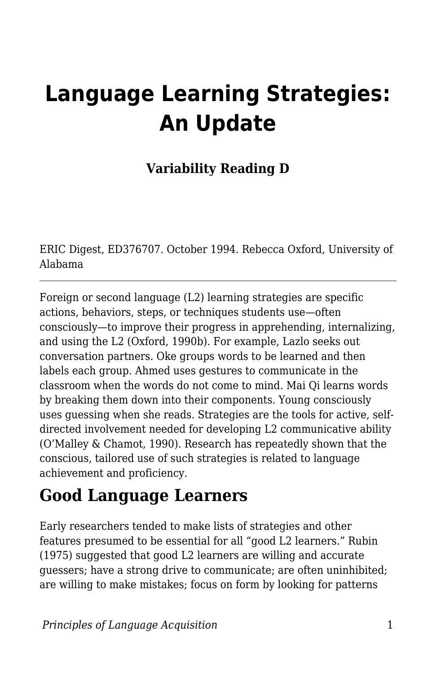# **Language Learning Strategies: An Update**

### **Variability Reading D**

ERIC Digest, ED376707. October 1994. Rebecca Oxford, University of Alabama

Foreign or second language (L2) learning strategies are specific actions, behaviors, steps, or techniques students use—often consciously—to improve their progress in apprehending, internalizing, and using the L2 (Oxford, 1990b). For example, Lazlo seeks out conversation partners. Oke groups words to be learned and then labels each group. Ahmed uses gestures to communicate in the classroom when the words do not come to mind. Mai Qi learns words by breaking them down into their components. Young consciously uses guessing when she reads. Strategies are the tools for active, selfdirected involvement needed for developing L2 communicative ability (O'Malley & Chamot, 1990). Research has repeatedly shown that the conscious, tailored use of such strategies is related to language achievement and proficiency.

### **Good Language Learners**

Early researchers tended to make lists of strategies and other features presumed to be essential for all "good L2 learners." Rubin (1975) suggested that good L2 learners are willing and accurate guessers; have a strong drive to communicate; are often uninhibited; are willing to make mistakes; focus on form by looking for patterns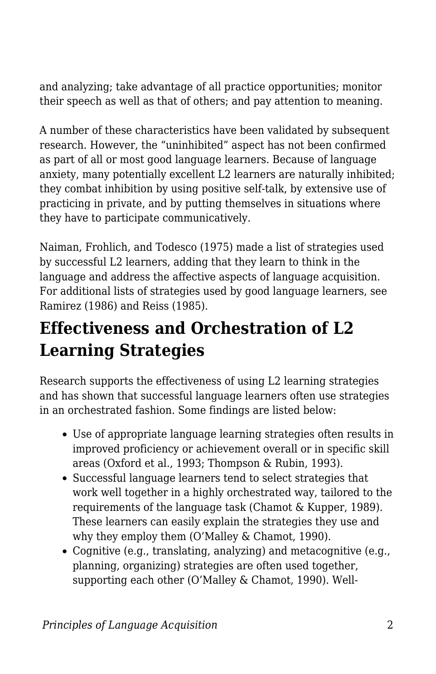and analyzing; take advantage of all practice opportunities; monitor their speech as well as that of others; and pay attention to meaning.

A number of these characteristics have been validated by subsequent research. However, the "uninhibited" aspect has not been confirmed as part of all or most good language learners. Because of language anxiety, many potentially excellent L2 learners are naturally inhibited; they combat inhibition by using positive self-talk, by extensive use of practicing in private, and by putting themselves in situations where they have to participate communicatively.

Naiman, Frohlich, and Todesco (1975) made a list of strategies used by successful L2 learners, adding that they learn to think in the language and address the affective aspects of language acquisition. For additional lists of strategies used by good language learners, see Ramirez (1986) and Reiss (1985).

### **Effectiveness and Orchestration of L2 Learning Strategies**

Research supports the effectiveness of using L2 learning strategies and has shown that successful language learners often use strategies in an orchestrated fashion. Some findings are listed below:

- Use of appropriate language learning strategies often results in improved proficiency or achievement overall or in specific skill areas (Oxford et al., 1993; Thompson & Rubin, 1993).
- Successful language learners tend to select strategies that work well together in a highly orchestrated way, tailored to the requirements of the language task (Chamot & Kupper, 1989). These learners can easily explain the strategies they use and why they employ them (O'Malley & Chamot, 1990).
- Cognitive (e.g., translating, analyzing) and metacognitive (e.g., planning, organizing) strategies are often used together, supporting each other (O'Malley & Chamot, 1990). Well-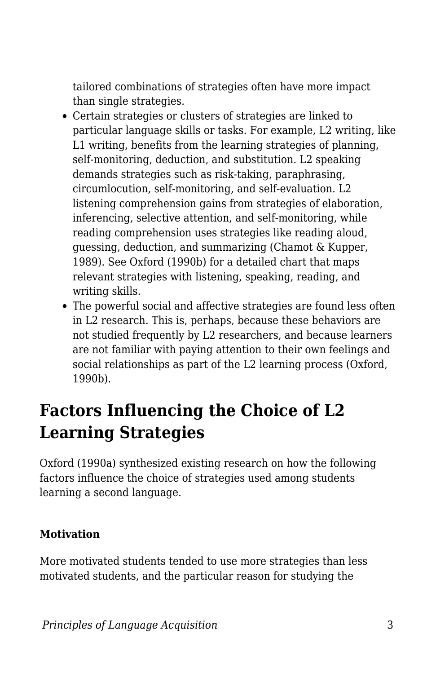tailored combinations of strategies often have more impact than single strategies.

- Certain strategies or clusters of strategies are linked to particular language skills or tasks. For example, L2 writing, like L1 writing, benefits from the learning strategies of planning, self-monitoring, deduction, and substitution. L2 speaking demands strategies such as risk-taking, paraphrasing, circumlocution, self-monitoring, and self-evaluation. L2 listening comprehension gains from strategies of elaboration, inferencing, selective attention, and self-monitoring, while reading comprehension uses strategies like reading aloud, guessing, deduction, and summarizing (Chamot & Kupper, 1989). See Oxford (1990b) for a detailed chart that maps relevant strategies with listening, speaking, reading, and writing skills.
- The powerful social and affective strategies are found less often in L2 research. This is, perhaps, because these behaviors are not studied frequently by L2 researchers, and because learners are not familiar with paying attention to their own feelings and social relationships as part of the L2 learning process (Oxford, 1990b).

### **Factors Influencing the Choice of L2 Learning Strategies**

Oxford (1990a) synthesized existing research on how the following factors influence the choice of strategies used among students learning a second language.

#### **Motivation**

More motivated students tended to use more strategies than less motivated students, and the particular reason for studying the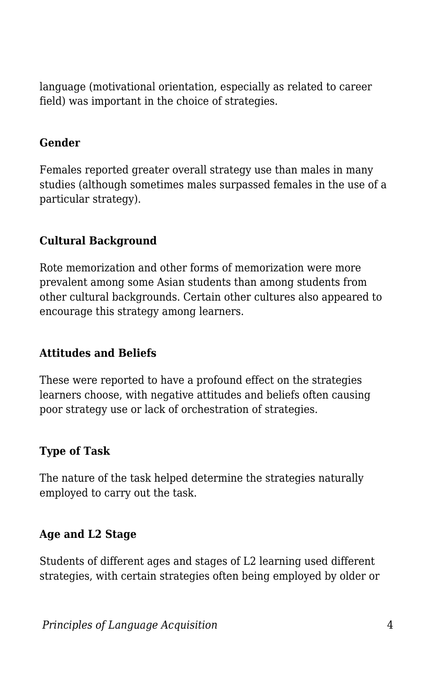language (motivational orientation, especially as related to career field) was important in the choice of strategies.

#### **Gender**

Females reported greater overall strategy use than males in many studies (although sometimes males surpassed females in the use of a particular strategy).

#### **Cultural Background**

Rote memorization and other forms of memorization were more prevalent among some Asian students than among students from other cultural backgrounds. Certain other cultures also appeared to encourage this strategy among learners.

#### **Attitudes and Beliefs**

These were reported to have a profound effect on the strategies learners choose, with negative attitudes and beliefs often causing poor strategy use or lack of orchestration of strategies.

#### **Type of Task**

The nature of the task helped determine the strategies naturally employed to carry out the task.

#### **Age and L2 Stage**

Students of different ages and stages of L2 learning used different strategies, with certain strategies often being employed by older or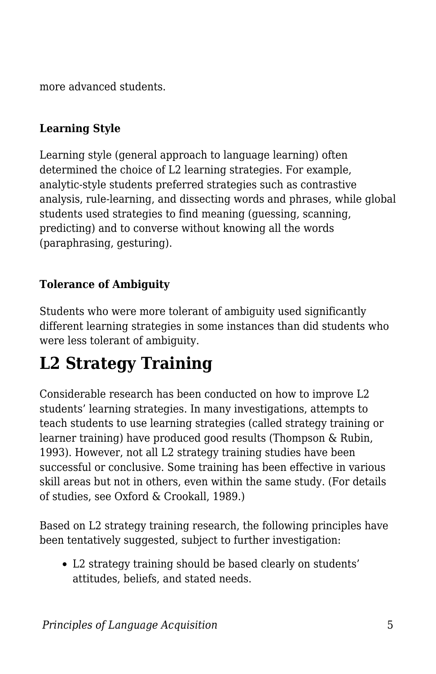more advanced students.

#### **Learning Style**

Learning style (general approach to language learning) often determined the choice of L2 learning strategies. For example, analytic-style students preferred strategies such as contrastive analysis, rule-learning, and dissecting words and phrases, while global students used strategies to find meaning (guessing, scanning, predicting) and to converse without knowing all the words (paraphrasing, gesturing).

#### **Tolerance of Ambiguity**

Students who were more tolerant of ambiguity used significantly different learning strategies in some instances than did students who were less tolerant of ambiguity.

### **L2 Strategy Training**

Considerable research has been conducted on how to improve L2 students' learning strategies. In many investigations, attempts to teach students to use learning strategies (called strategy training or learner training) have produced good results (Thompson & Rubin, 1993). However, not all L2 strategy training studies have been successful or conclusive. Some training has been effective in various skill areas but not in others, even within the same study. (For details of studies, see Oxford & Crookall, 1989.)

Based on L2 strategy training research, the following principles have been tentatively suggested, subject to further investigation:

L2 strategy training should be based clearly on students' attitudes, beliefs, and stated needs.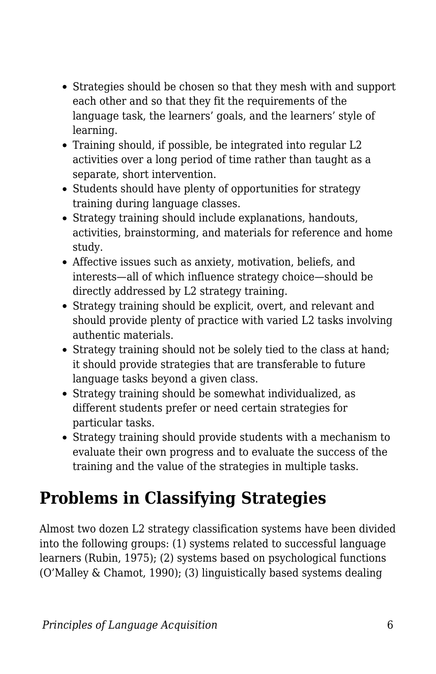- Strategies should be chosen so that they mesh with and support each other and so that they fit the requirements of the language task, the learners' goals, and the learners' style of learning.
- Training should, if possible, be integrated into regular L2 activities over a long period of time rather than taught as a separate, short intervention.
- Students should have plenty of opportunities for strategy training during language classes.
- Strategy training should include explanations, handouts, activities, brainstorming, and materials for reference and home study.
- Affective issues such as anxiety, motivation, beliefs, and interests—all of which influence strategy choice—should be directly addressed by L2 strategy training.
- Strategy training should be explicit, overt, and relevant and should provide plenty of practice with varied L2 tasks involving authentic materials.
- Strategy training should not be solely tied to the class at hand; it should provide strategies that are transferable to future language tasks beyond a given class.
- Strategy training should be somewhat individualized, as different students prefer or need certain strategies for particular tasks.
- Strategy training should provide students with a mechanism to evaluate their own progress and to evaluate the success of the training and the value of the strategies in multiple tasks.

## **Problems in Classifying Strategies**

Almost two dozen L2 strategy classification systems have been divided into the following groups: (1) systems related to successful language learners (Rubin, 1975); (2) systems based on psychological functions (O'Malley & Chamot, 1990); (3) linguistically based systems dealing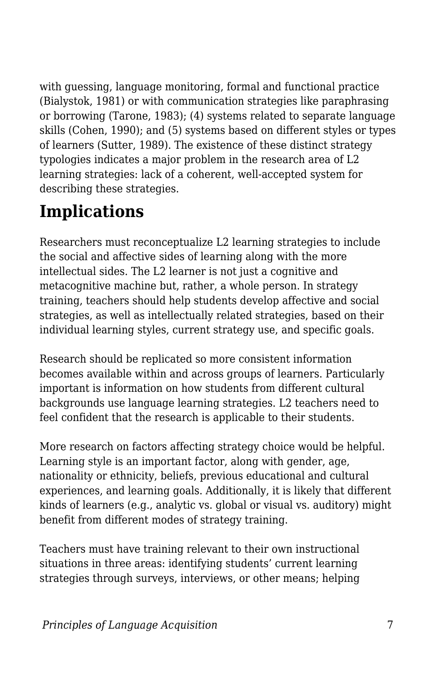with guessing, language monitoring, formal and functional practice (Bialystok, 1981) or with communication strategies like paraphrasing or borrowing (Tarone, 1983); (4) systems related to separate language skills (Cohen, 1990); and (5) systems based on different styles or types of learners (Sutter, 1989). The existence of these distinct strategy typologies indicates a major problem in the research area of L2 learning strategies: lack of a coherent, well-accepted system for describing these strategies.

### **Implications**

Researchers must reconceptualize L2 learning strategies to include the social and affective sides of learning along with the more intellectual sides. The L2 learner is not just a cognitive and metacognitive machine but, rather, a whole person. In strategy training, teachers should help students develop affective and social strategies, as well as intellectually related strategies, based on their individual learning styles, current strategy use, and specific goals.

Research should be replicated so more consistent information becomes available within and across groups of learners. Particularly important is information on how students from different cultural backgrounds use language learning strategies. L2 teachers need to feel confident that the research is applicable to their students.

More research on factors affecting strategy choice would be helpful. Learning style is an important factor, along with gender, age, nationality or ethnicity, beliefs, previous educational and cultural experiences, and learning goals. Additionally, it is likely that different kinds of learners (e.g., analytic vs. global or visual vs. auditory) might benefit from different modes of strategy training.

Teachers must have training relevant to their own instructional situations in three areas: identifying students' current learning strategies through surveys, interviews, or other means; helping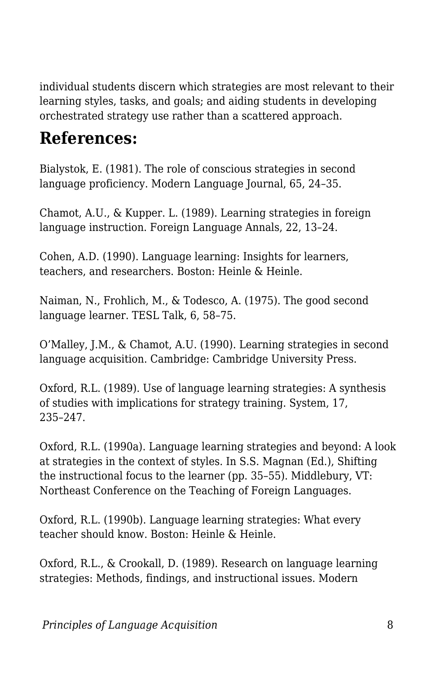individual students discern which strategies are most relevant to their learning styles, tasks, and goals; and aiding students in developing orchestrated strategy use rather than a scattered approach.

### **References:**

Bialystok, E. (1981). The role of conscious strategies in second language proficiency. Modern Language Journal, 65, 24–35.

Chamot, A.U., & Kupper. L. (1989). Learning strategies in foreign language instruction. Foreign Language Annals, 22, 13–24.

Cohen, A.D. (1990). Language learning: Insights for learners, teachers, and researchers. Boston: Heinle & Heinle.

Naiman, N., Frohlich, M., & Todesco, A. (1975). The good second language learner. TESL Talk, 6, 58–75.

O'Malley, J.M., & Chamot, A.U. (1990). Learning strategies in second language acquisition. Cambridge: Cambridge University Press.

Oxford, R.L. (1989). Use of language learning strategies: A synthesis of studies with implications for strategy training. System, 17, 235–247.

Oxford, R.L. (1990a). Language learning strategies and beyond: A look at strategies in the context of styles. In S.S. Magnan (Ed.), Shifting the instructional focus to the learner (pp. 35–55). Middlebury, VT: Northeast Conference on the Teaching of Foreign Languages.

Oxford, R.L. (1990b). Language learning strategies: What every teacher should know. Boston: Heinle & Heinle.

Oxford, R.L., & Crookall, D. (1989). Research on language learning strategies: Methods, findings, and instructional issues. Modern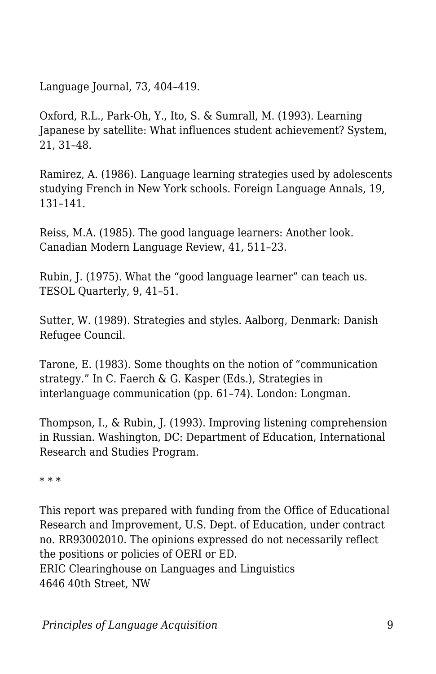Language Journal, 73, 404–419.

Oxford, R.L., Park-Oh, Y., Ito, S. & Sumrall, M. (1993). Learning Japanese by satellite: What influences student achievement? System, 21, 31–48.

Ramirez, A. (1986). Language learning strategies used by adolescents studying French in New York schools. Foreign Language Annals, 19, 131–141.

Reiss, M.A. (1985). The good language learners: Another look. Canadian Modern Language Review, 41, 511–23.

Rubin, J. (1975). What the "good language learner" can teach us. TESOL Quarterly, 9, 41–51.

Sutter, W. (1989). Strategies and styles. Aalborg, Denmark: Danish Refugee Council.

Tarone, E. (1983). Some thoughts on the notion of "communication strategy." In C. Faerch & G. Kasper (Eds.), Strategies in interlanguage communication (pp. 61–74). London: Longman.

Thompson, I., & Rubin, J. (1993). Improving listening comprehension in Russian. Washington, DC: Department of Education, International Research and Studies Program.

\* \* \*

This report was prepared with funding from the Office of Educational Research and Improvement, U.S. Dept. of Education, under contract no. RR93002010. The opinions expressed do not necessarily reflect the positions or policies of OERI or ED. ERIC Clearinghouse on Languages and Linguistics

4646 40th Street, NW

*Principles of Language Acquisition* 9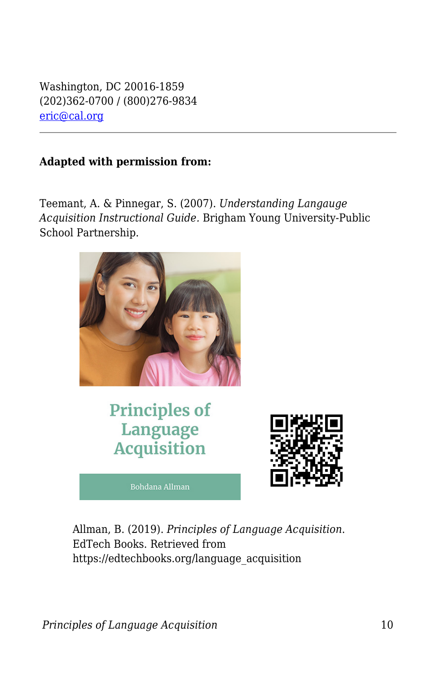Washington, DC 20016-1859 (202)362-0700 / (800)276-9834 [eric@cal.org](mailto:eric@cal.org)

#### **Adapted with permission from:**

Teemant, A. & Pinnegar, S. (2007). *Understanding Langauge Acquisition Instructional Guide.* Brigham Young University-Public School Partnership.



**Principles of** Language **Acquisition** 

**Bohdana Allman** 



Allman, B. (2019). *Principles of Language Acquisition*. EdTech Books. Retrieved from https://edtechbooks.org/language\_acquisition